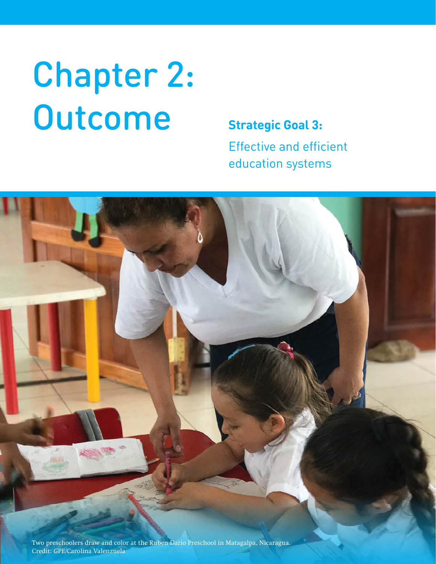# Chapter 2: Outcome **Strategic Goal 3:**

Effective and efficient education systems

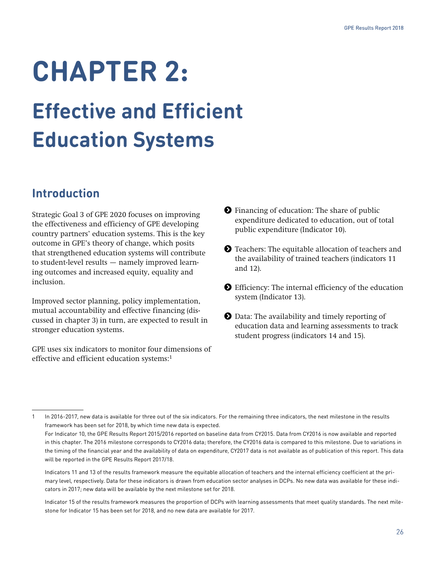# **CHAPTER 2:**

# **Effective and Efficient Education Systems**

# **Introduction**

Strategic Goal 3 of GPE 2020 focuses on improving the effectiveness and efficiency of GPE developing country partners' education systems. This is the key outcome in GPE's theory of change, which posits that strengthened education systems will contribute to student-level results — namely improved learning outcomes and increased equity, equality and inclusion.

Improved sector planning, policy implementation, mutual accountability and effective financing (discussed in chapter 3) in turn, are expected to result in stronger education systems.

GPE uses six indicators to monitor four dimensions of effective and efficient education systems:<sup>1</sup>

**•** Financing of education: The share of public expenditure dedicated to education, out of total public expenditure (Indicator 10).

**O** Teachers: The equitable allocation of teachers and the availability of trained teachers (indicators 11 and 12).

- Efficiency: The internal efficiency of the education system (Indicator 13).
- Data: The availability and timely reporting of education data and learning assessments to track student progress (indicators 14 and 15).

<sup>1</sup> In 2016-2017, new data is available for three out of the six indicators. For the remaining three indicators, the next milestone in the results framework has been set for 2018, by which time new data is expected.

For Indicator 10, the GPE Results Report 2015/2016 reported on baseline data from CY2015. Data from CY2016 is now available and reported in this chapter. The 2016 milestone corresponds to CY2016 data; therefore, the CY2016 data is compared to this milestone. Due to variations in the timing of the financial year and the availability of data on expenditure, CY2017 data is not available as of publication of this report. This data will be reported in the GPE Results Report 2017/18.

Indicators 11 and 13 of the results framework measure the equitable allocation of teachers and the internal efficiency coefficient at the primary level, respectively. Data for these indicators is drawn from education sector analyses in DCPs. No new data was available for these indicators in 2017; new data will be available by the next milestone set for 2018.

Indicator 15 of the results framework measures the proportion of DCPs with learning assessments that meet quality standards. The next milestone for Indicator 15 has been set for 2018, and no new data are available for 2017.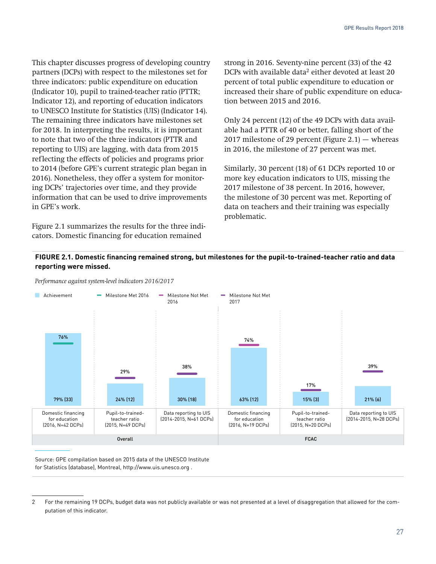This chapter discusses progress of developing country partners (DCPs) with respect to the milestones set for three indicators: public expenditure on education (Indicator 10), pupil to trained-teacher ratio (PTTR; Indicator 12), and reporting of education indicators to UNESCO Institute for Statistics (UIS) (Indicator 14). The remaining three indicators have milestones set for 2018. In interpreting the results, it is important to note that two of the three indicators (PTTR and reporting to UIS) are lagging, with data from 2015 reflecting the effects of policies and programs prior to 2014 (before GPE's current strategic plan began in 2016). Nonetheless, they offer a system for monitoring DCPs' trajectories over time, and they provide information that can be used to drive improvements in GPE's work.

Figure 2.1 summarizes the results for the three indicators. Domestic financing for education remained

strong in 2016. Seventy-nine percent (33) of the 42 DCPs with available data<sup>2</sup> either devoted at least 20 percent of total public expenditure to education or increased their share of public expenditure on education between 2015 and 2016.

Only 24 percent (12) of the 49 DCPs with data available had a PTTR of 40 or better, falling short of the 2017 milestone of 29 percent (Figure 2.1)  $-$  whereas in 2016, the milestone of 27 percent was met.

Similarly, 30 percent (18) of 61 DCPs reported 10 or more key education indicators to UIS, missing the 2017 milestone of 38 percent. In 2016, however, the milestone of 30 percent was met. Reporting of data on teachers and their training was especially problematic.

#### **FIGURE 2.1. Domestic financing remained strong, but milestones for the pupil-to-trained-teacher ratio and data reporting were missed.**



*Performance against system-level indicators 2016/2017*

Source: GPE compilation based on 2015 data of the UNESCO Institute for Statistics (database), Montreal, http://www.uis.unesco.org .

<sup>2</sup> For the remaining 19 DCPs, budget data was not publicly available or was not presented at a level of disaggregation that allowed for the computation of this indicator.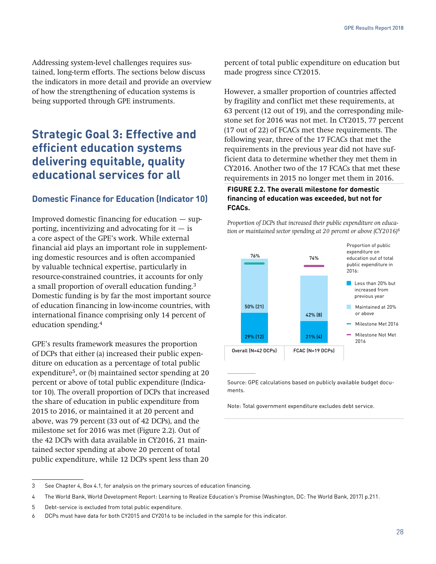Addressing system-level challenges requires sustained, long-term efforts. The sections below discuss the indicators in more detail and provide an overview of how the strengthening of education systems is being supported through GPE instruments.

# **Strategic Goal 3: Effective and efficient education systems delivering equitable, quality educational services for all**

### **Domestic Finance for Education (Indicator 10)**

Improved domestic financing for education — supporting, incentivizing and advocating for it  $-$  is a core aspect of the GPE's work. While external financial aid plays an important role in supplementing domestic resources and is often accompanied by valuable technical expertise, particularly in resource-constrained countries, it accounts for only a small proportion of overall education funding.3 Domestic funding is by far the most important source of education financing in low-income countries, with international finance comprising only 14 percent of education spending.4

GPE's results framework measures the proportion of DCPs that either (a) increased their public expenditure on education as a percentage of total public expenditure<sup>5</sup>, or (b) maintained sector spending at 20 percent or above of total public expenditure (Indicator 10). The overall proportion of DCPs that increased the share of education in public expenditure from 2015 to 2016, or maintained it at 20 percent and above, was 79 percent (33 out of 42 DCPs), and the milestone set for 2016 was met (Figure 2.2). Out of the 42 DCPs with data available in CY2016, 21 maintained sector spending at above 20 percent of total public expenditure, while 12 DCPs spent less than 20

percent of total public expenditure on education but made progress since CY2015.

However, a smaller proportion of countries affected by fragility and conflict met these requirements, at 63 percent (12 out of 19), and the corresponding milestone set for 2016 was not met. In CY2015, 77 percent (17 out of 22) of FCACs met these requirements. The following year, three of the 17 FCACs that met the requirements in the previous year did not have sufficient data to determine whether they met them in CY2016. Another two of the 17 FCACs that met these requirements in 2015 no longer met them in 2016.

#### **FIGURE 2.2. The overall milestone for domestic financing of education was exceeded, but not for FCACs.**

*Proportion of DCPs that increased their public expenditure on educa-*



Source: GPE calculations based on publicly available budget documents.

Note: Total government expenditure excludes debt service.

<sup>3</sup> See Chapter 4, Box 4.1, for analysis on the primary sources of education financing.

<sup>4</sup> The World Bank, World Development Report: Learning to Realize Education's Promise (Washington, DC: The World Bank, 2017) p.211.

<sup>5</sup> Debt-service is excluded from total public expenditure.

<sup>6</sup> DCPs must have data for both CY2015 and CY2016 to be included in the sample for this indicator.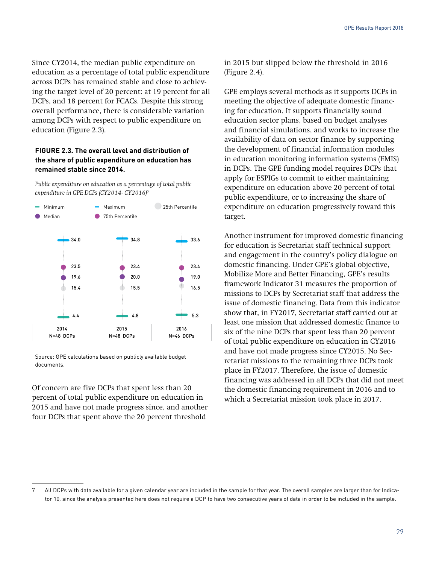Since CY2014, the median public expenditure on education as a percentage of total public expenditure across DCPs has remained stable and close to achieving the target level of 20 percent: at 19 percent for all DCPs, and 18 percent for FCACs. Despite this strong overall performance, there is considerable variation among DCPs with respect to public expenditure on education (Figure 2.3).

#### **FIGURE 2.3. The overall level and distribution of the share of public expenditure on education has remained stable since 2014.**

*Public expenditure on education as a percentage of total public expenditure in GPE DCPs (CY2014- CY2016)7*



Source: GPE calculations based on publicly available budget documents.

Of concern are five DCPs that spent less than 20 percent of total public expenditure on education in 2015 and have not made progress since, and another four DCPs that spent above the 20 percent threshold

in 2015 but slipped below the threshold in 2016 (Figure 2.4).

GPE employs several methods as it supports DCPs in meeting the objective of adequate domestic financing for education. It supports financially sound education sector plans, based on budget analyses and financial simulations, and works to increase the availability of data on sector finance by supporting the development of financial information modules in education monitoring information systems (EMIS) in DCPs. The GPE funding model requires DCPs that apply for ESPIGs to commit to either maintaining expenditure on education above 20 percent of total public expenditure, or to increasing the share of expenditure on education progressively toward this target.

Another instrument for improved domestic financing for education is Secretariat staff technical support and engagement in the country's policy dialogue on domestic financing. Under GPE's global objective, Mobilize More and Better Financing, GPE's results framework Indicator 31 measures the proportion of missions to DCPs by Secretariat staff that address the issue of domestic financing. Data from this indicator show that, in FY2017, Secretariat staff carried out at least one mission that addressed domestic finance to six of the nine DCPs that spent less than 20 percent of total public expenditure on education in CY2016 and have not made progress since CY2015. No Secretariat missions to the remaining three DCPs took place in FY2017. Therefore, the issue of domestic financing was addressed in all DCPs that did not meet the domestic financing requirement in 2016 and to which a Secretariat mission took place in 2017.

<sup>7</sup> All DCPs with data available for a given calendar year are included in the sample for that year. The overall samples are larger than for Indicator 10, since the analysis presented here does not require a DCP to have two consecutive years of data in order to be included in the sample.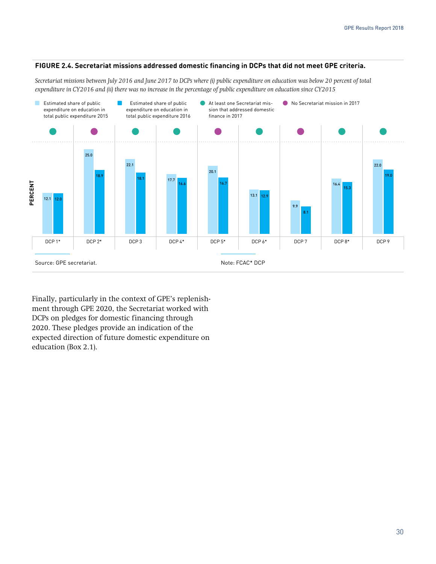#### **FIGURE 2.4. Secretariat missions addressed domestic financing in DCPs that did not meet GPE criteria.**

*Secretariat missions between July 2016 and June 2017 to DCPs where (i) public expenditure on education was below 20 percent of total expenditure in CY2016 and (ii) there was no increase in the percentage of public expenditure on education since CY2015* 



Finally, particularly in the context of GPE's replenishment through GPE 2020, the Secretariat worked with DCPs on pledges for domestic financing through 2020. These pledges provide an indication of the expected direction of future domestic expenditure on education (Box 2.1).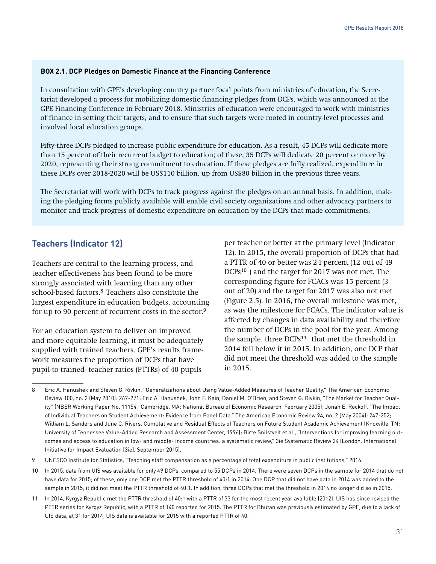#### **BOX 2.1. DCP Pledges on Domestic Finance at the Financing Conference**

In consultation with GPE's developing country partner focal points from ministries of education, the Secretariat developed a process for mobilizing domestic financing pledges from DCPs, which was announced at the GPE Financing Conference in February 2018. Ministries of education were encouraged to work with ministries of finance in setting their targets, and to ensure that such targets were rooted in country-level processes and involved local education groups.

Fifty-three DCPs pledged to increase public expenditure for education. As a result, 45 DCPs will dedicate more than 15 percent of their recurrent budget to education; of these, 35 DCPs will dedicate 20 percent or more by 2020, representing their strong commitment to education. If these pledges are fully realized, expenditure in these DCPs over 2018-2020 will be US\$110 billion, up from US\$80 billion in the previous three years.

The Secretariat will work with DCPs to track progress against the pledges on an annual basis. In addition, making the pledging forms publicly available will enable civil society organizations and other advocacy partners to monitor and track progress of domestic expenditure on education by the DCPs that made commitments.

### **Teachers (Indicator 12)**

Teachers are central to the learning process, and teacher effectiveness has been found to be more strongly associated with learning than any other school-based factors.<sup>8</sup> Teachers also constitute the largest expenditure in education budgets, accounting for up to 90 percent of recurrent costs in the sector.<sup>9</sup>

For an education system to deliver on improved and more equitable learning, it must be adequately supplied with trained teachers. GPE's results framework measures the proportion of DCPs that have pupil-to-trained- teacher ratios (PTTRs) of 40 pupils

per teacher or better at the primary level (Indicator 12). In 2015, the overall proportion of DCPs that had a PTTR of 40 or better was 24 percent (12 out of 49 DCPs<sup>10</sup>) and the target for 2017 was not met. The corresponding figure for FCACs was 15 percent (3 out of 20) and the target for 2017 was also not met (Figure 2.5). In 2016, the overall milestone was met, as was the milestone for FCACs. The indicator value is affected by changes in data availability and therefore the number of DCPs in the pool for the year. Among the sample, three  $DCPs^{11}$  that met the threshold in 2014 fell below it in 2015. In addition, one DCP that did not meet the threshold was added to the sample in 2015.

<sup>8</sup> Eric A. Hanushek and Steven G. Rivkin, "Generalizations about Using Value-Added Measures of Teacher Quality," The American Economic Review 100, no. 2 (May 2010): 267-271; Eric A. Hanushek, John F. Kain, Daniel M. O'Brien, and Steven G. Rivkin, "The Market for Teacher Quality" (NBER Working Paper No. 11154, Cambridge, MA: National Bureau of Economic Research, February 2005); Jonah E. Rockoff, "The Impact of Individual Teachers on Student Achievement: Evidence from Panel Data," The American Economic Review 94, no. 2 (May 2004): 247-252; William L. Sanders and June C. Rivers, Cumulative and Residual Effects of Teachers on Future Student Academic Achievement (Knoxville, TN: University of Tennessee Value-Added Research and Assessment Center, 1996); Birte Snilstveit et al., "Interventions for improving learning outcomes and access to education in low- and middle- income countries: a systematic review," 3ie Systematic Review 24 (London: International Initiative for Impact Evaluation [3ie], September 2015).

<sup>9</sup> UNESCO Institute for Statistics, "Teaching staff compensation as a percentage of total expenditure in public institutions," 2016.

<sup>10</sup> In 2015, data from UIS was available for only 49 DCPs, compared to 55 DCPs in 2014. There were seven DCPs in the sample for 2014 that do not have data for 2015; of these, only one DCP met the PTTR threshold of 40:1 in 2014. One DCP that did not have data in 2014 was added to the sample in 2015; it did not meet the PTTR threshold of 40:1. In addition, three DCPs that met the threshold in 2014 no longer did so in 2015.

<sup>11</sup> In 2014, Kyrgyz Republic met the PTTR threshold of 40:1 with a PTTR of 33 for the most recent year available (2012). UIS has since revised the PTTR series for Kyrgyz Republic, with a PTTR of 140 reported for 2015. The PTTR for Bhutan was previously estimated by GPE, due to a lack of UIS data, at 31 for 2014; UIS data is available for 2015 with a reported PTTR of 40.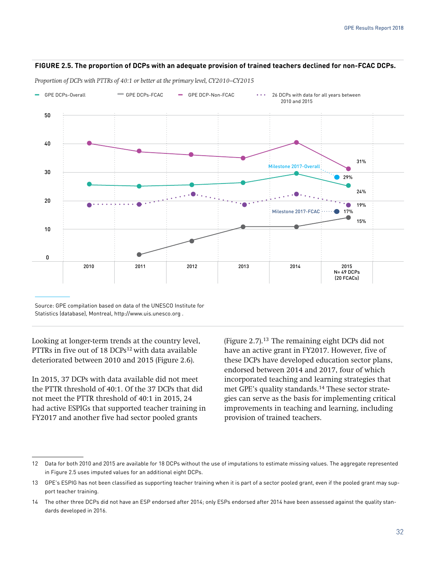#### **FIGURE 2.5. The proportion of DCPs with an adequate provision of trained teachers declined for non-FCAC DCPs.**

GPE DCPs-Overall GPE DCPs-FCAC - GPE DCP-Non-FCAC - 26 DCPs with data for all years between 2010 and 2015 50 40 30 20 10 0 Milestone 2017-Overall 29% 31% 24% 19% 15% Milestone 2017-FCAC  $\cdots$  17% 2010 2011 2012 2013 2014 2015 N= 49 DCPs (20 FCACs)

*Proportion of DCPs with PTTRs of 40:1 or better at the primary level, CY2010–CY2015*

Source: GPE compilation based on data of the UNESCO Institute for Statistics (database), Montreal, http://www.uis.unesco.org .

Looking at longer-term trends at the country level, PTTRs in five out of 18 DCPs<sup>12</sup> with data available deteriorated between 2010 and 2015 (Figure 2.6).

In 2015, 37 DCPs with data available did not meet the PTTR threshold of 40:1. Of the 37 DCPs that did not meet the PTTR threshold of 40:1 in 2015, 24 had active ESPIGs that supported teacher training in FY2017 and another five had sector pooled grants

(Figure 2.7).13 The remaining eight DCPs did not have an active grant in FY2017. However, five of these DCPs have developed education sector plans, endorsed between 2014 and 2017, four of which incorporated teaching and learning strategies that met GPE's quality standards.14 These sector strategies can serve as the basis for implementing critical improvements in teaching and learning, including provision of trained teachers.

<sup>12</sup> Data for both 2010 and 2015 are available for 18 DCPs without the use of imputations to estimate missing values. The aggregate represented in Figure 2.5 uses imputed values for an additional eight DCPs.

<sup>13</sup> GPE's ESPIG has not been classified as supporting teacher training when it is part of a sector pooled grant, even if the pooled grant may support teacher training.

<sup>14</sup> The other three DCPs did not have an ESP endorsed after 2014; only ESPs endorsed after 2014 have been assessed against the quality standards developed in 2016.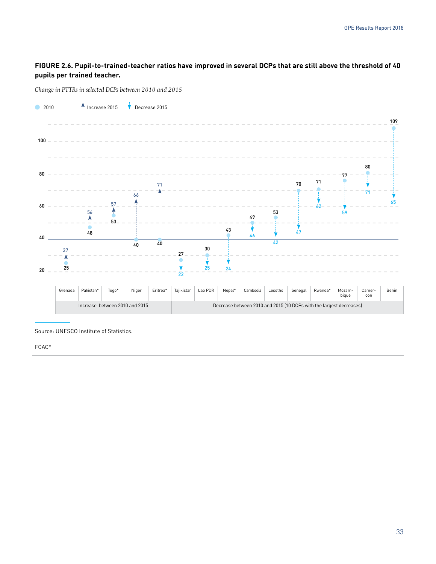#### **FIGURE 2.6. Pupil-to-trained-teacher ratios have improved in several DCPs that are still above the threshold of 40 pupils per trained teacher.**

*Change in PTTRs in selected DCPs between 2010 and 2015*



Source: UNESCO Institute of Statistics.

FCAC\*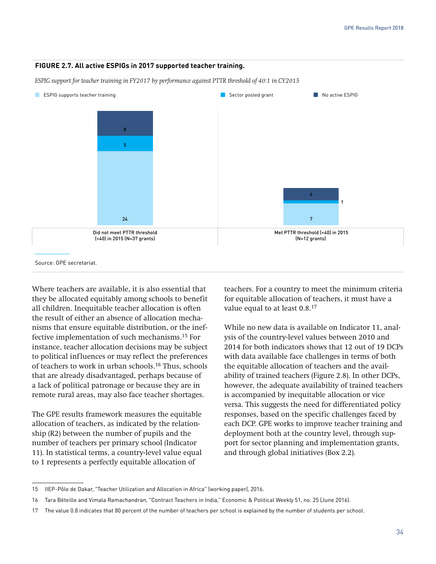#### **FIGURE 2.7. All active ESPIGs in 2017 supported teacher training.**

*ESPIG support for teacher training in FY2017 by performance against PTTR threshold of 40:1 in CY2015*



Where teachers are available, it is also essential that they be allocated equitably among schools to benefit all children. Inequitable teacher allocation is often the result of either an absence of allocation mechanisms that ensure equitable distribution, or the ineffective implementation of such mechanisms.15 For instance, teacher allocation decisions may be subject to political influences or may reflect the preferences of teachers to work in urban schools.16 Thus, schools that are already disadvantaged, perhaps because of a lack of political patronage or because they are in remote rural areas, may also face teacher shortages.

The GPE results framework measures the equitable allocation of teachers, as indicated by the relationship (R2) between the number of pupils and the number of teachers per primary school (Indicator 11). In statistical terms, a country-level value equal to 1 represents a perfectly equitable allocation of

teachers. For a country to meet the minimum criteria for equitable allocation of teachers, it must have a value equal to at least 0.8.17

While no new data is available on Indicator 11, analysis of the country-level values between 2010 and 2014 for both indicators shows that 12 out of 19 DCPs with data available face challenges in terms of both the equitable allocation of teachers and the availability of trained teachers (Figure 2.8). In other DCPs, however, the adequate availability of trained teachers is accompanied by inequitable allocation or vice versa. This suggests the need for differentiated policy responses, based on the specific challenges faced by each DCP. GPE works to improve teacher training and deployment both at the country level, through support for sector planning and implementation grants, and through global initiatives (Box 2.2).

<sup>15</sup> IIEP-Pôle de Dakar, "Teacher Utilization and Allocation in Africa" (working paper), 2016.

<sup>16</sup> Tara Béteille and Vimala Ramachandran, "Contract Teachers in India," Economic & Political Weekly 51, no. 25 (June 2016).

<sup>17</sup> The value 0.8 indicates that 80 percent of the number of teachers per school is explained by the number of students per school.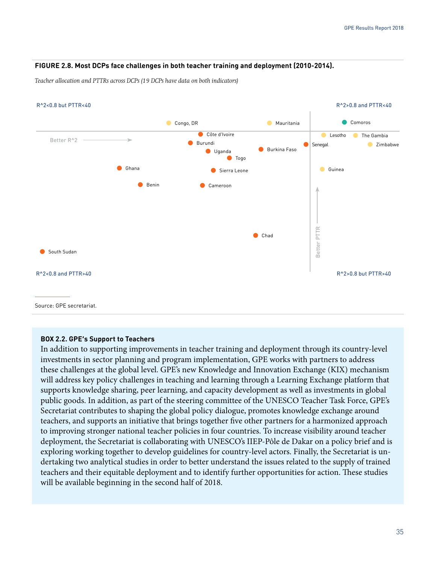#### **FIGURE 2.8. Most DCPs face challenges in both teacher training and deployment (2010-2014).**

*Teacher allocation and PTTRs across DCPs (19 DCPs have data on both indicators)* 



#### **BOX 2.2. GPE's Support to Teachers**

In addition to supporting improvements in teacher training and deployment through its country-level investments in sector planning and program implementation, GPE works with partners to address these challenges at the global level. GPE's new Knowledge and Innovation Exchange (KIX) mechanism will address key policy challenges in teaching and learning through a Learning Exchange platform that supports knowledge sharing, peer learning, and capacity development as well as investments in global public goods. In addition, as part of the steering committee of the UNESCO Teacher Task Force, GPE's Secretariat contributes to shaping the global policy dialogue, promotes knowledge exchange around teachers, and supports an initiative that brings together five other partners for a harmonized approach to improving stronger national teacher policies in four countries. To increase visibility around teacher deployment, the Secretariat is collaborating with UNESCO's IIEP-Pôle de Dakar on a policy brief and is exploring working together to develop guidelines for country-level actors. Finally, the Secretariat is undertaking two analytical studies in order to better understand the issues related to the supply of trained teachers and their equitable deployment and to identify further opportunities for action. These studies will be available beginning in the second half of 2018.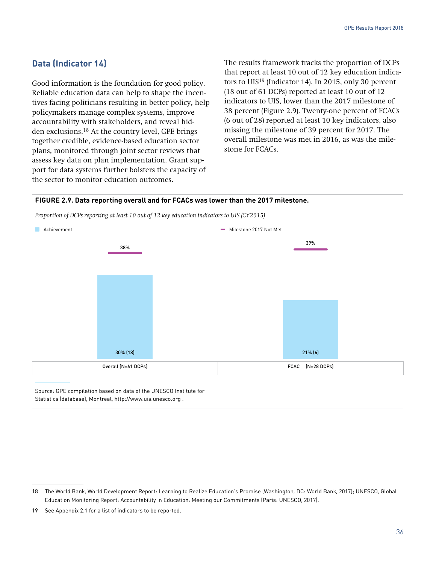## **Data (Indicator 14)**

Good information is the foundation for good policy. Reliable education data can help to shape the incentives facing politicians resulting in better policy, help policymakers manage complex systems, improve accountability with stakeholders, and reveal hidden exclusions.18 At the country level, GPE brings together credible, evidence-based education sector plans, monitored through joint sector reviews that assess key data on plan implementation. Grant support for data systems further bolsters the capacity of the sector to monitor education outcomes.

The results framework tracks the proportion of DCPs that report at least 10 out of 12 key education indicators to UIS<sup>19</sup> (Indicator 14). In 2015, only 30 percent (18 out of 61 DCPs) reported at least 10 out of 12 indicators to UIS, lower than the 2017 milestone of 38 percent (Figure 2.9). Twenty-one percent of FCACs (6 out of 28) reported at least 10 key indicators, also missing the milestone of 39 percent for 2017. The overall milestone was met in 2016, as was the milestone for FCACs.

#### **FIGURE 2.9. Data reporting overall and for FCACs was lower than the 2017 milestone.**

*Proportion of DCPs reporting at least 10 out of 12 key education indicators to UIS (CY2015)*



Source: GPE compilation based on data of the UNESCO Institute for Statistics (database), Montreal, http://www.uis.unesco.org .

<sup>18</sup> The World Bank, World Development Report: Learning to Realize Education's Promise (Washington, DC: World Bank, 2017); UNESCO, Global Education Monitoring Report: Accountability in Education: Meeting our Commitments (Paris: UNESCO, 2017).

<sup>19</sup> See Appendix 2.1 for a list of indicators to be reported.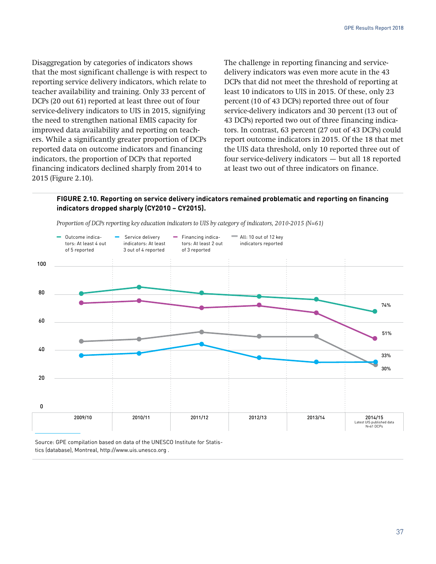Disaggregation by categories of indicators shows that the most significant challenge is with respect to reporting service delivery indicators, which relate to teacher availability and training. Only 33 percent of DCPs (20 out 61) reported at least three out of four service-delivery indicators to UIS in 2015, signifying the need to strengthen national EMIS capacity for improved data availability and reporting on teachers. While a significantly greater proportion of DCPs reported data on outcome indicators and financing indicators, the proportion of DCPs that reported financing indicators declined sharply from 2014 to 2015 (Figure 2.10).

The challenge in reporting financing and servicedelivery indicators was even more acute in the 43 DCPs that did not meet the threshold of reporting at least 10 indicators to UIS in 2015. Of these, only 23 percent (10 of 43 DCPs) reported three out of four service-delivery indicators and 30 percent (13 out of 43 DCPs) reported two out of three financing indicators. In contrast, 63 percent (27 out of 43 DCPs) could report outcome indicators in 2015. Of the 18 that met the UIS data threshold, only 10 reported three out of four service-delivery indicators — but all 18 reported at least two out of three indicators on finance.

#### **FIGURE 2.10. Reporting on service delivery indicators remained problematic and reporting on financing indicators dropped sharply (CY2010 – CY2015).**



*Proportion of DCPs reporting key education indicators to UIS by category of indicators, 2010-2015 (N=61)*

Source: GPE compilation based on data of the UNESCO Institute for Statistics (database), Montreal, http://www.uis.unesco.org .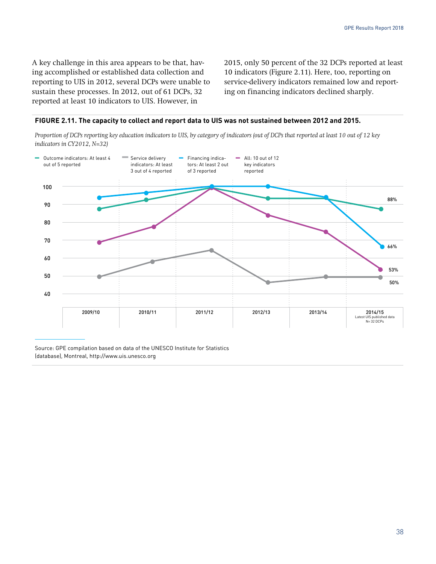A key challenge in this area appears to be that, having accomplished or established data collection and reporting to UIS in 2012, several DCPs were unable to sustain these processes. In 2012, out of 61 DCPs, 32 reported at least 10 indicators to UIS. However, in

2015, only 50 percent of the 32 DCPs reported at least 10 indicators (Figure 2.11). Here, too, reporting on service-delivery indicators remained low and reporting on financing indicators declined sharply.

#### **FIGURE 2.11. The capacity to collect and report data to UIS was not sustained between 2012 and 2015.**

*Proportion of DCPs reporting key education indicators to UIS, by category of indicators (out of DCPs that reported at least 10 out of 12 key indicators in CY2012, N=32)*



Source: GPE compilation based on data of the UNESCO Institute for Statistics (database), Montreal, http://www.uis.unesco.org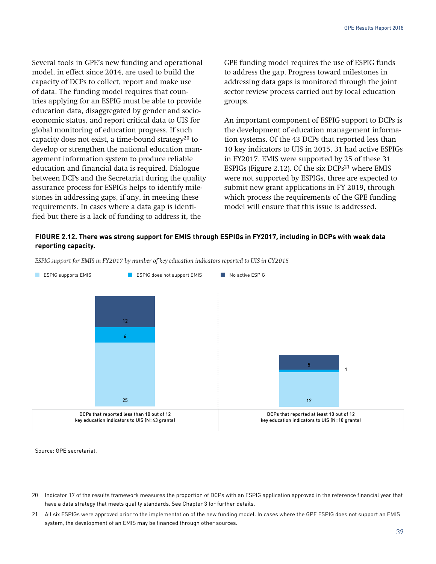Several tools in GPE's new funding and operational model, in effect since 2014, are used to build the capacity of DCPs to collect, report and make use of data. The funding model requires that countries applying for an ESPIG must be able to provide education data, disaggregated by gender and socioeconomic status, and report critical data to UIS for global monitoring of education progress. If such capacity does not exist, a time-bound strategy $^{20}$  to develop or strengthen the national education management information system to produce reliable education and financial data is required. Dialogue between DCPs and the Secretariat during the quality assurance process for ESPIGs helps to identify milestones in addressing gaps, if any, in meeting these requirements. In cases where a data gap is identified but there is a lack of funding to address it, the

GPE funding model requires the use of ESPIG funds to address the gap. Progress toward milestones in addressing data gaps is monitored through the joint sector review process carried out by local education groups.

An important component of ESPIG support to DCPs is the development of education management information systems. Of the 43 DCPs that reported less than 10 key indicators to UIS in 2015, 31 had active ESPIGs in FY2017. EMIS were supported by 25 of these 31 ESPIGs (Figure 2.12). Of the six DCPs<sup>21</sup> where EMIS were not supported by ESPIGs, three are expected to submit new grant applications in FY 2019, through which process the requirements of the GPE funding model will ensure that this issue is addressed.

#### **FIGURE 2.12. There was strong support for EMIS through ESPIGs in FY2017, including in DCPs with weak data reporting capacity.**

*ESPIG support for EMIS in FY2017 by number of key education indicators reported to UIS in CY2015*



Source: GPE secretariat.

<sup>20</sup> Indicator 17 of the results framework measures the proportion of DCPs with an ESPIG application approved in the reference financial year that have a data strategy that meets quality standards. See Chapter 3 for further details.

<sup>21</sup> All six ESPIGs were approved prior to the implementation of the new funding model. In cases where the GPE ESPIG does not support an EMIS system, the development of an EMIS may be financed through other sources.